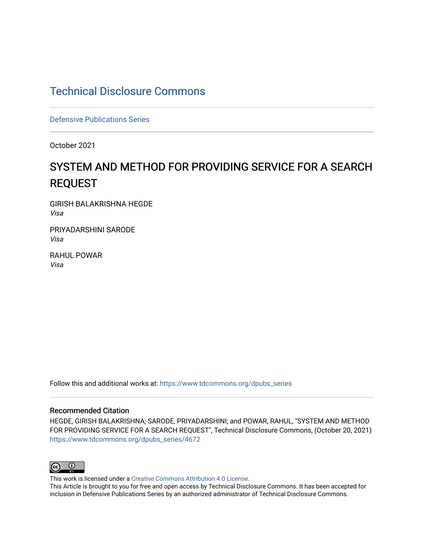# [Technical Disclosure Commons](https://www.tdcommons.org/)

[Defensive Publications Series](https://www.tdcommons.org/dpubs_series)

October 2021

# SYSTEM AND METHOD FOR PROVIDING SERVICE FOR A SEARCH REQUEST

GIRISH BALAKRISHNA HEGDE Visa

PRIYADARSHINI SARODE Visa

RAHUL POWAR Visa

Follow this and additional works at: [https://www.tdcommons.org/dpubs\\_series](https://www.tdcommons.org/dpubs_series?utm_source=www.tdcommons.org%2Fdpubs_series%2F4672&utm_medium=PDF&utm_campaign=PDFCoverPages) 

#### Recommended Citation

HEGDE, GIRISH BALAKRISHNA; SARODE, PRIYADARSHINI; and POWAR, RAHUL, "SYSTEM AND METHOD FOR PROVIDING SERVICE FOR A SEARCH REQUEST", Technical Disclosure Commons, (October 20, 2021) [https://www.tdcommons.org/dpubs\\_series/4672](https://www.tdcommons.org/dpubs_series/4672?utm_source=www.tdcommons.org%2Fdpubs_series%2F4672&utm_medium=PDF&utm_campaign=PDFCoverPages)



This work is licensed under a [Creative Commons Attribution 4.0 License](http://creativecommons.org/licenses/by/4.0/deed.en_US).

This Article is brought to you for free and open access by Technical Disclosure Commons. It has been accepted for inclusion in Defensive Publications Series by an authorized administrator of Technical Disclosure Commons.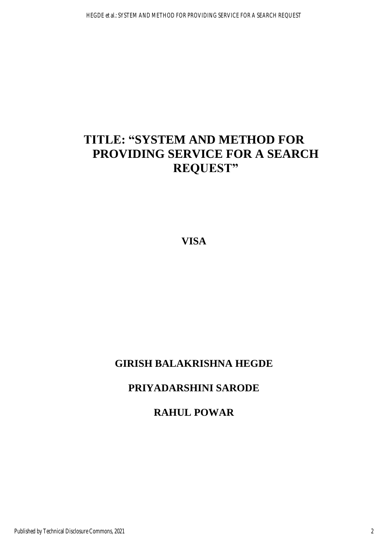# **TITLE: "SYSTEM AND METHOD FOR PROVIDING SERVICE FOR A SEARCH REQUEST"**

**VISA** 

## **GIRISH BALAKRISHNA HEGDE**

## **PRIYADARSHINI SARODE**

## **RAHUL POWAR**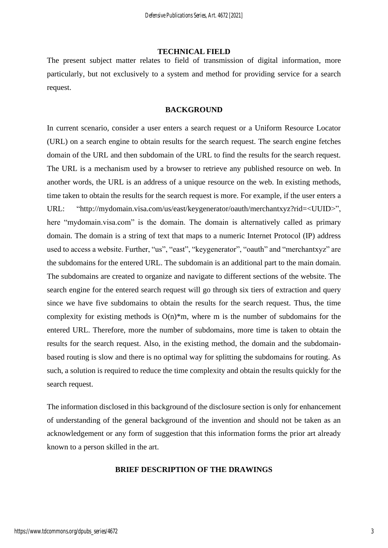#### **TECHNICAL FIELD**

The present subject matter relates to field of transmission of digital information, more particularly, but not exclusively to a system and method for providing service for a search request.

#### **BACKGROUND**

In current scenario, consider a user enters a search request or a Uniform Resource Locator (URL) on a search engine to obtain results for the search request. The search engine fetches domain of the URL and then subdomain of the URL to find the results for the search request. The URL is a mechanism used by a browser to retrieve any published resource on web. In another words, the URL is an address of a unique resource on the web. In existing methods, time taken to obtain the results for the search request is more. For example, if the user enters a URL: "http:/[/mydomain.visa.com/us/east/keygenerator/oauth/merchantxyz?rid=<UUID>](http://mydomain.visa.com/us/east/keygenerator/oauth/merchantxyz?rid=%3cUUID)", here "mydomain.visa.com" is the domain. The domain is alternatively called as primary domain. The domain is a string of text that maps to a numeric Internet Protocol (IP) address used to access a website. Further, "us", "east", "keygenerator", "oauth" and "merchantxyz" are the subdomains for the entered URL. The subdomain is an additional part to the main domain. The subdomains are created to organize and navigate to different sections of the website. The search engine for the entered search request will go through six tiers of extraction and query since we have five subdomains to obtain the results for the search request. Thus, the time complexity for existing methods is  $O(n)^*m$ , where m is the number of subdomains for the entered URL. Therefore, more the number of subdomains, more time is taken to obtain the results for the search request. Also, in the existing method, the domain and the subdomainbased routing is slow and there is no optimal way for splitting the subdomains for routing. As such, a solution is required to reduce the time complexity and obtain the results quickly for the search request.

The information disclosed in this background of the disclosure section is only for enhancement of understanding of the general background of the invention and should not be taken as an acknowledgement or any form of suggestion that this information forms the prior art already known to a person skilled in the art.

#### **BRIEF DESCRIPTION OF THE DRAWINGS**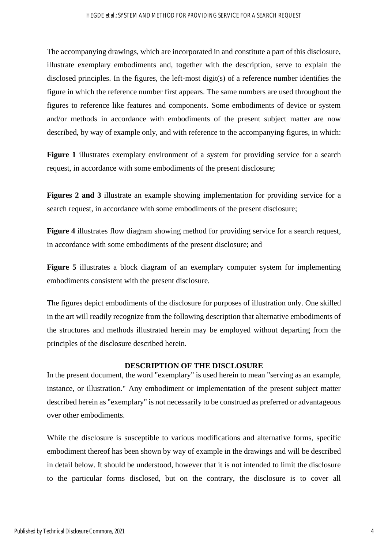The accompanying drawings, which are incorporated in and constitute a part of this disclosure, illustrate exemplary embodiments and, together with the description, serve to explain the disclosed principles. In the figures, the left-most digit(s) of a reference number identifies the figure in which the reference number first appears. The same numbers are used throughout the figures to reference like features and components. Some embodiments of device or system and/or methods in accordance with embodiments of the present subject matter are now described, by way of example only, and with reference to the accompanying figures, in which:

**Figure 1** illustrates exemplary environment of a system for providing service for a search request, in accordance with some embodiments of the present disclosure;

**Figures 2 and 3** illustrate an example showing implementation for providing service for a search request, in accordance with some embodiments of the present disclosure;

**Figure 4** illustrates flow diagram showing method for providing service for a search request, in accordance with some embodiments of the present disclosure; and

**Figure 5** illustrates a block diagram of an exemplary computer system for implementing embodiments consistent with the present disclosure.

The figures depict embodiments of the disclosure for purposes of illustration only. One skilled in the art will readily recognize from the following description that alternative embodiments of the structures and methods illustrated herein may be employed without departing from the principles of the disclosure described herein.

#### **DESCRIPTION OF THE DISCLOSURE**

In the present document, the word "exemplary" is used herein to mean "serving as an example, instance, or illustration." Any embodiment or implementation of the present subject matter described herein as "exemplary" is not necessarily to be construed as preferred or advantageous over other embodiments.

While the disclosure is susceptible to various modifications and alternative forms, specific embodiment thereof has been shown by way of example in the drawings and will be described in detail below. It should be understood, however that it is not intended to limit the disclosure to the particular forms disclosed, but on the contrary, the disclosure is to cover all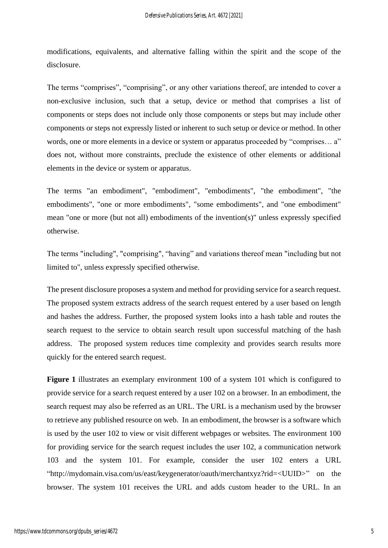modifications, equivalents, and alternative falling within the spirit and the scope of the disclosure.

The terms "comprises", "comprising", or any other variations thereof, are intended to cover a non-exclusive inclusion, such that a setup, device or method that comprises a list of components or steps does not include only those components or steps but may include other components or steps not expressly listed or inherent to such setup or device or method. In other words, one or more elements in a device or system or apparatus proceeded by "comprises... a" does not, without more constraints, preclude the existence of other elements or additional elements in the device or system or apparatus.

The terms "an embodiment", "embodiment", "embodiments", "the embodiment", "the embodiments", "one or more embodiments", "some embodiments", and "one embodiment" mean "one or more (but not all) embodiments of the invention(s)" unless expressly specified otherwise.

The terms "including", "comprising", "having" and variations thereof mean "including but not limited to", unless expressly specified otherwise.

The present disclosure proposes a system and method for providing service for a search request. The proposed system extracts address of the search request entered by a user based on length and hashes the address. Further, the proposed system looks into a hash table and routes the search request to the service to obtain search result upon successful matching of the hash address. The proposed system reduces time complexity and provides search results more quickly for the entered search request.

**Figure 1** illustrates an exemplary environment 100 of a system 101 which is configured to provide service for a search request entered by a user 102 on a browser. In an embodiment, the search request may also be referred as an URL. The URL is a mechanism used by the browser to retrieve any published resource on web. In an embodiment, the browser is a software which is used by the user 102 to view or visit different webpages or websites. The environment 100 for providing service for the search request includes the user 102, a communication network 103 and the system 101. For example, consider the user 102 enters a URL ["http://mydomain.visa.com/us/east/keygenerator/oauth/merchantxyz?rid=<UUID>"](http://mydomain.visa.com/us/east/keygenerator/oauth/merchantxyz?rid=%3cUUID%3e) on the browser. The system 101 receives the URL and adds custom header to the URL. In an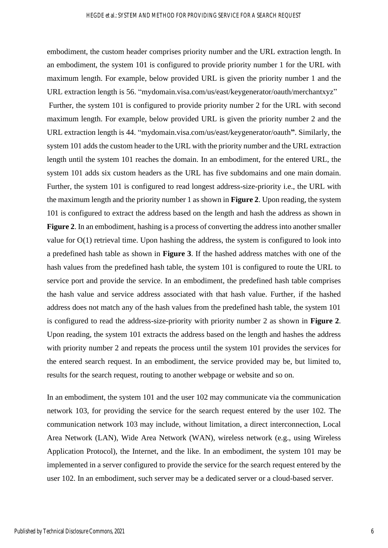embodiment, the custom header comprises priority number and the URL extraction length. In an embodiment, the system 101 is configured to provide priority number 1 for the URL with maximum length. For example, below provided URL is given the priority number 1 and the URL extraction length is 56. "mydomain.visa.com/us/east/keygenerator/oauth/merchantxyz" Further, the system 101 is configured to provide priority number 2 for the URL with second maximum length. For example, below provided URL is given the priority number 2 and the URL extraction length is 44. "mydomain.visa.com/us/east/keygenerator/oauth**"**. Similarly, the system 101 adds the custom header to the URL with the priority number and the URL extraction length until the system 101 reaches the domain. In an embodiment, for the entered URL, the system 101 adds six custom headers as the URL has five subdomains and one main domain. Further, the system 101 is configured to read longest address-size-priority i.e., the URL with the maximum length and the priority number 1 as shown in **Figure 2**. Upon reading, the system 101 is configured to extract the address based on the length and hash the address as shown in **Figure 2**. In an embodiment, hashing is a process of converting the address into another smaller value for O(1) retrieval time. Upon hashing the address, the system is configured to look into a predefined hash table as shown in **Figure 3**. If the hashed address matches with one of the hash values from the predefined hash table, the system 101 is configured to route the URL to service port and provide the service. In an embodiment, the predefined hash table comprises the hash value and service address associated with that hash value. Further, if the hashed address does not match any of the hash values from the predefined hash table, the system 101 is configured to read the address-size-priority with priority number 2 as shown in **Figure 2**. Upon reading, the system 101 extracts the address based on the length and hashes the address with priority number 2 and repeats the process until the system 101 provides the services for the entered search request. In an embodiment, the service provided may be, but limited to, results for the search request, routing to another webpage or website and so on.

In an embodiment, the system 101 and the user 102 may communicate via the communication network 103, for providing the service for the search request entered by the user 102. The communication network 103 may include, without limitation, a direct interconnection, Local Area Network (LAN), Wide Area Network (WAN), wireless network (e.g., using Wireless Application Protocol), the Internet, and the like. In an embodiment, the system 101 may be implemented in a server configured to provide the service for the search request entered by the user 102. In an embodiment, such server may be a dedicated server or a cloud-based server.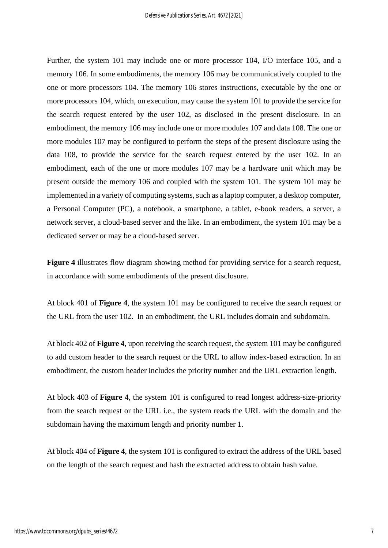Further, the system 101 may include one or more processor 104, I/O interface 105, and a memory 106. In some embodiments, the memory 106 may be communicatively coupled to the one or more processors 104. The memory 106 stores instructions, executable by the one or more processors 104, which, on execution, may cause the system 101 to provide the service for the search request entered by the user 102, as disclosed in the present disclosure. In an embodiment, the memory 106 may include one or more modules 107 and data 108. The one or more modules 107 may be configured to perform the steps of the present disclosure using the data 108, to provide the service for the search request entered by the user 102. In an embodiment, each of the one or more modules 107 may be a hardware unit which may be present outside the memory 106 and coupled with the system 101. The system 101 may be implemented in a variety of computing systems, such as a laptop computer, a desktop computer, a Personal Computer (PC), a notebook, a smartphone, a tablet, e-book readers, a server, a network server, a cloud-based server and the like. In an embodiment, the system 101 may be a dedicated server or may be a cloud-based server.

**Figure 4** illustrates flow diagram showing method for providing service for a search request, in accordance with some embodiments of the present disclosure.

At block 401 of **Figure 4**, the system 101 may be configured to receive the search request or the URL from the user 102. In an embodiment, the URL includes domain and subdomain.

At block 402 of **Figure 4**, upon receiving the search request, the system 101 may be configured to add custom header to the search request or the URL to allow index-based extraction. In an embodiment, the custom header includes the priority number and the URL extraction length.

At block 403 of **Figure 4**, the system 101 is configured to read longest address-size-priority from the search request or the URL i.e., the system reads the URL with the domain and the subdomain having the maximum length and priority number 1.

At block 404 of **Figure 4**, the system 101 is configured to extract the address of the URL based on the length of the search request and hash the extracted address to obtain hash value.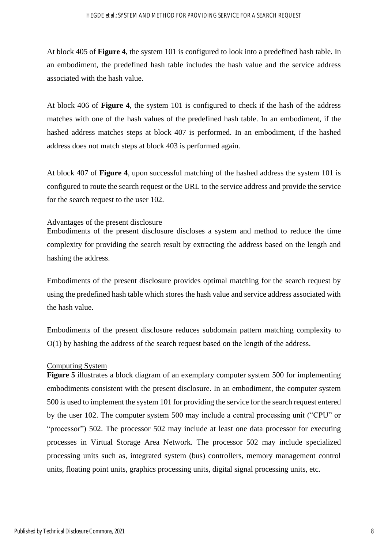At block 405 of **Figure 4**, the system 101 is configured to look into a predefined hash table. In an embodiment, the predefined hash table includes the hash value and the service address associated with the hash value.

At block 406 of **Figure 4**, the system 101 is configured to check if the hash of the address matches with one of the hash values of the predefined hash table. In an embodiment, if the hashed address matches steps at block 407 is performed. In an embodiment, if the hashed address does not match steps at block 403 is performed again.

At block 407 of **Figure 4**, upon successful matching of the hashed address the system 101 is configured to route the search request or the URL to the service address and provide the service for the search request to the user 102.

#### Advantages of the present disclosure

Embodiments of the present disclosure discloses a system and method to reduce the time complexity for providing the search result by extracting the address based on the length and hashing the address.

Embodiments of the present disclosure provides optimal matching for the search request by using the predefined hash table which stores the hash value and service address associated with the hash value.

Embodiments of the present disclosure reduces subdomain pattern matching complexity to O(1) by hashing the address of the search request based on the length of the address.

#### Computing System

**Figure 5** illustrates a block diagram of an exemplary computer system 500 for implementing embodiments consistent with the present disclosure. In an embodiment, the computer system 500 is used to implement the system 101 for providing the service for the search request entered by the user 102. The computer system 500 may include a central processing unit ("CPU" or "processor") 502. The processor 502 may include at least one data processor for executing processes in Virtual Storage Area Network. The processor 502 may include specialized processing units such as, integrated system (bus) controllers, memory management control units, floating point units, graphics processing units, digital signal processing units, etc.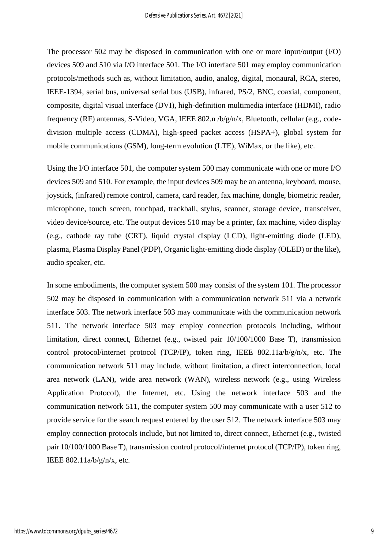The processor 502 may be disposed in communication with one or more input/output (I/O) devices 509 and 510 via I/O interface 501. The I/O interface 501 may employ communication protocols/methods such as, without limitation, audio, analog, digital, monaural, RCA, stereo, IEEE-1394, serial bus, universal serial bus (USB), infrared, PS/2, BNC, coaxial, component, composite, digital visual interface (DVI), high-definition multimedia interface (HDMI), radio frequency (RF) antennas, S-Video, VGA, IEEE 802.n /b/g/n/x, Bluetooth, cellular (e.g., codedivision multiple access (CDMA), high-speed packet access (HSPA+), global system for mobile communications (GSM), long-term evolution (LTE), WiMax, or the like), etc.

Using the I/O interface 501, the computer system 500 may communicate with one or more I/O devices 509 and 510. For example, the input devices 509 may be an antenna, keyboard, mouse, joystick, (infrared) remote control, camera, card reader, fax machine, dongle, biometric reader, microphone, touch screen, touchpad, trackball, stylus, scanner, storage device, transceiver, video device/source, etc. The output devices 510 may be a printer, fax machine, video display (e.g., cathode ray tube (CRT), liquid crystal display (LCD), light-emitting diode (LED), plasma, Plasma Display Panel (PDP), Organic light-emitting diode display (OLED) or the like), audio speaker, etc.

In some embodiments, the computer system 500 may consist of the system 101. The processor 502 may be disposed in communication with a communication network 511 via a network interface 503. The network interface 503 may communicate with the communication network 511. The network interface 503 may employ connection protocols including, without limitation, direct connect, Ethernet (e.g., twisted pair 10/100/1000 Base T), transmission control protocol/internet protocol (TCP/IP), token ring, IEEE 802.11a/b/g/n/x, etc. The communication network 511 may include, without limitation, a direct interconnection, local area network (LAN), wide area network (WAN), wireless network (e.g., using Wireless Application Protocol), the Internet, etc. Using the network interface 503 and the communication network 511, the computer system 500 may communicate with a user 512 to provide service for the search request entered by the user 512. The network interface 503 may employ connection protocols include, but not limited to, direct connect, Ethernet (e.g., twisted pair 10/100/1000 Base T), transmission control protocol/internet protocol (TCP/IP), token ring, IEEE 802.11a/b/g/n/x, etc.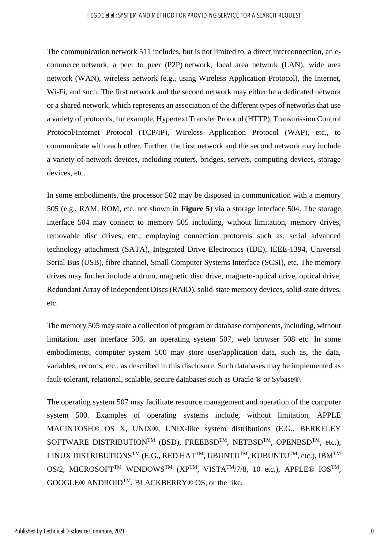#### HEGDE et al.: SYSTEM AND METHOD FOR PROVIDING SERVICE FOR A SEARCH REQUEST

The communication network 511 includes, but is not limited to, a direct interconnection, an ecommerce network, a peer to peer (P2P) network, local area network (LAN), wide area network (WAN), wireless network (e.g., using Wireless Application Protocol), the Internet, Wi-Fi, and such. The first network and the second network may either be a dedicated network or a shared network, which represents an association of the different types of networks that use a variety of protocols, for example, Hypertext Transfer Protocol (HTTP), Transmission Control Protocol/Internet Protocol (TCP/IP), Wireless Application Protocol (WAP), etc., to communicate with each other. Further, the first network and the second network may include a variety of network devices, including routers, bridges, servers, computing devices, storage devices, etc.

In some embodiments, the processor 502 may be disposed in communication with a memory 505 (e.g., RAM, ROM, etc. not shown in **Figure 5**) via a storage interface 504. The storage interface 504 may connect to memory 505 including, without limitation, memory drives, removable disc drives, etc., employing connection protocols such as, serial advanced technology attachment (SATA), Integrated Drive Electronics (IDE), IEEE-1394, Universal Serial Bus (USB), fibre channel, Small Computer Systems Interface (SCSI), etc. The memory drives may further include a drum, magnetic disc drive, magneto-optical drive, optical drive, Redundant Array of Independent Discs (RAID), solid-state memory devices, solid-state drives, etc.

The memory 505 may store a collection of program or database components, including, without limitation, user interface 506, an operating system 507, web browser 508 etc. In some embodiments, computer system 500 may store user/application data, such as, the data, variables, records, etc., as described in this disclosure. Such databases may be implemented as fault-tolerant, relational, scalable, secure databases such as Oracle ® or Sybase®.

The operating system 507 may facilitate resource management and operation of the computer system 500. Examples of operating systems include, without limitation, APPLE MACINTOSH® OS X, UNIX®, UNIX-like system distributions (E.G., BERKELEY SOFTWARE DISTRIBUTION<sup>TM</sup> (BSD), FREEBSD<sup>TM</sup>, NETBSD<sup>TM</sup>, OPENBSD<sup>TM</sup>, etc.), LINUX DISTRIBUTIONS<sup>TM</sup> (E.G., RED HAT<sup>TM</sup>, UBUNTU<sup>TM</sup>, KUBUNTU<sup>TM</sup>, etc.), IBM<sup>TM</sup> OS/2, MICROSOFT<sup>TM</sup> WINDOWS<sup>TM</sup> (XP<sup>TM</sup>, VISTA<sup>TM</sup>/7/8, 10 etc.), APPLE<sup>®</sup> IOS<sup>TM</sup>, GOOGLE® ANDROIDTM, BLACKBERRY® OS, or the like.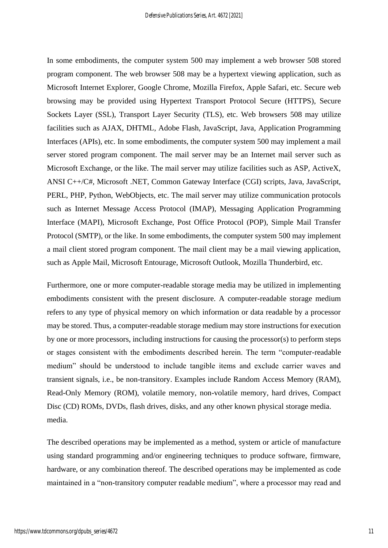In some embodiments, the computer system 500 may implement a web browser 508 stored program component. The web browser 508 may be a hypertext viewing application, such as Microsoft Internet Explorer, Google Chrome, Mozilla Firefox, Apple Safari, etc. Secure web browsing may be provided using Hypertext Transport Protocol Secure (HTTPS), Secure Sockets Layer (SSL), Transport Layer Security (TLS), etc. Web browsers 508 may utilize facilities such as AJAX, DHTML, Adobe Flash, JavaScript, Java, Application Programming Interfaces (APIs), etc. In some embodiments, the computer system 500 may implement a mail server stored program component. The mail server may be an Internet mail server such as Microsoft Exchange, or the like. The mail server may utilize facilities such as ASP, ActiveX, ANSI C++/C#, Microsoft .NET, Common Gateway Interface (CGI) scripts, Java, JavaScript, PERL, PHP, Python, WebObjects, etc. The mail server may utilize communication protocols such as Internet Message Access Protocol (IMAP), Messaging Application Programming Interface (MAPI), Microsoft Exchange, Post Office Protocol (POP), Simple Mail Transfer Protocol (SMTP), or the like. In some embodiments, the computer system 500 may implement a mail client stored program component. The mail client may be a mail viewing application, such as Apple Mail, Microsoft Entourage, Microsoft Outlook, Mozilla Thunderbird, etc.

Furthermore, one or more computer-readable storage media may be utilized in implementing embodiments consistent with the present disclosure. A computer-readable storage medium refers to any type of physical memory on which information or data readable by a processor may be stored. Thus, a computer-readable storage medium may store instructions for execution by one or more processors, including instructions for causing the processor(s) to perform steps or stages consistent with the embodiments described herein. The term "computer-readable medium" should be understood to include tangible items and exclude carrier waves and transient signals, i.e., be non-transitory. Examples include Random Access Memory (RAM), Read-Only Memory (ROM), volatile memory, non-volatile memory, hard drives, Compact Disc (CD) ROMs, DVDs, flash drives, disks, and any other known physical storage media. media.

The described operations may be implemented as a method, system or article of manufacture using standard programming and/or engineering techniques to produce software, firmware, hardware, or any combination thereof. The described operations may be implemented as code maintained in a "non-transitory computer readable medium", where a processor may read and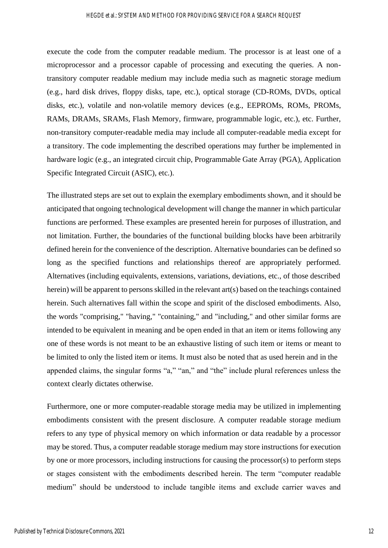#### HEGDE et al.: SYSTEM AND METHOD FOR PROVIDING SERVICE FOR A SEARCH REQUEST

execute the code from the computer readable medium. The processor is at least one of a microprocessor and a processor capable of processing and executing the queries. A nontransitory computer readable medium may include media such as magnetic storage medium (e.g., hard disk drives, floppy disks, tape, etc.), optical storage (CD-ROMs, DVDs, optical disks, etc.), volatile and non-volatile memory devices (e.g., EEPROMs, ROMs, PROMs, RAMs, DRAMs, SRAMs, Flash Memory, firmware, programmable logic, etc.), etc. Further, non-transitory computer-readable media may include all computer-readable media except for a transitory. The code implementing the described operations may further be implemented in hardware logic (e.g., an integrated circuit chip, Programmable Gate Array (PGA), Application Specific Integrated Circuit (ASIC), etc.).

The illustrated steps are set out to explain the exemplary embodiments shown, and it should be anticipated that ongoing technological development will change the manner in which particular functions are performed. These examples are presented herein for purposes of illustration, and not limitation. Further, the boundaries of the functional building blocks have been arbitrarily defined herein for the convenience of the description. Alternative boundaries can be defined so long as the specified functions and relationships thereof are appropriately performed. Alternatives (including equivalents, extensions, variations, deviations, etc., of those described herein) will be apparent to persons skilled in the relevant art(s) based on the teachings contained herein. Such alternatives fall within the scope and spirit of the disclosed embodiments. Also, the words "comprising," "having," "containing," and "including," and other similar forms are intended to be equivalent in meaning and be open ended in that an item or items following any one of these words is not meant to be an exhaustive listing of such item or items or meant to be limited to only the listed item or items. It must also be noted that as used herein and in the appended claims, the singular forms "a," "an," and "the" include plural references unless the context clearly dictates otherwise.

Furthermore, one or more computer-readable storage media may be utilized in implementing embodiments consistent with the present disclosure. A computer readable storage medium refers to any type of physical memory on which information or data readable by a processor may be stored. Thus, a computer readable storage medium may store instructions for execution by one or more processors, including instructions for causing the processor(s) to perform steps or stages consistent with the embodiments described herein. The term "computer readable medium" should be understood to include tangible items and exclude carrier waves and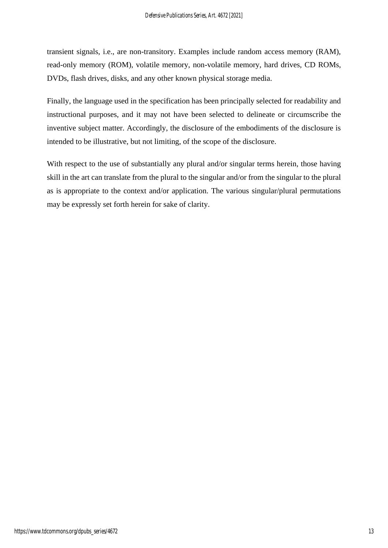transient signals, i.e., are non-transitory. Examples include random access memory (RAM), read-only memory (ROM), volatile memory, non-volatile memory, hard drives, CD ROMs, DVDs, flash drives, disks, and any other known physical storage media.

Finally, the language used in the specification has been principally selected for readability and instructional purposes, and it may not have been selected to delineate or circumscribe the inventive subject matter. Accordingly, the disclosure of the embodiments of the disclosure is intended to be illustrative, but not limiting, of the scope of the disclosure.

With respect to the use of substantially any plural and/or singular terms herein, those having skill in the art can translate from the plural to the singular and/or from the singular to the plural as is appropriate to the context and/or application. The various singular/plural permutations may be expressly set forth herein for sake of clarity.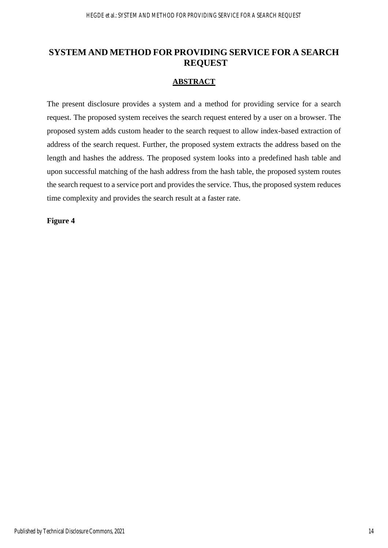### **SYSTEM AND METHOD FOR PROVIDING SERVICE FOR A SEARCH REQUEST**

### **ABSTRACT**

The present disclosure provides a system and a method for providing service for a search request. The proposed system receives the search request entered by a user on a browser. The proposed system adds custom header to the search request to allow index-based extraction of address of the search request. Further, the proposed system extracts the address based on the length and hashes the address. The proposed system looks into a predefined hash table and upon successful matching of the hash address from the hash table, the proposed system routes the search request to a service port and provides the service. Thus, the proposed system reduces time complexity and provides the search result at a faster rate.

**Figure 4**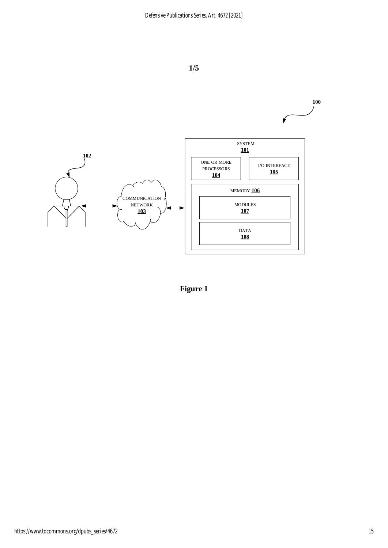



**Figure 1**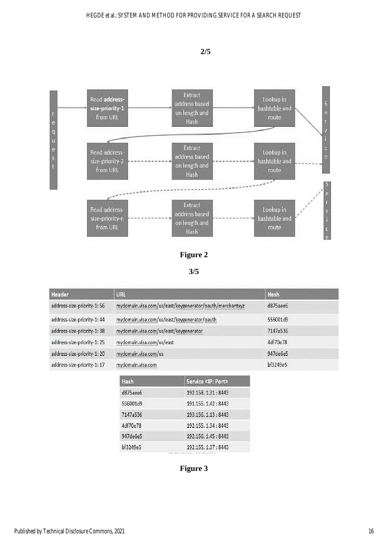



**Figure 2**

**3/5**

| Header                      | <b>URL</b>                                               | Hash     |
|-----------------------------|----------------------------------------------------------|----------|
| address-size-priority-1: 56 | mydomain.visa.com/us/east/keygenerator/oauth/merchantxyz | d875aee6 |
| address-size-priority-1: 44 | mydomain.visa.com/us/east/keygenerator/oauth             | 556001d9 |
| address-size-priority-1:38  | mydomain.visa.com/us/east/keygenerator                   | 7147a536 |
| address-size-priority-1: 25 | mydomain.visa.com/us/east                                | 4df70e78 |
| address-size-priority-1: 20 | mydomain.visa.com/us                                     | 947de6e5 |
| address-size-priority-1: 17 | mydomain.visa.com                                        | bf3249e5 |
|                             |                                                          |          |

| Hash     | Service <ip: port=""></ip:> |
|----------|-----------------------------|
| d875aee6 | 192.158.1.31:8443           |
| 556001d9 | 191.155.1.42:8443           |
| 7147a536 | 193.156.1.13:8443           |
| 4df70e78 | 192.155.1.34:8443           |
| 947de6e5 | 192.156.1.45:8443           |
| bf3249e5 | 192.155.1.37:8443           |
|          |                             |

### **Figure 3**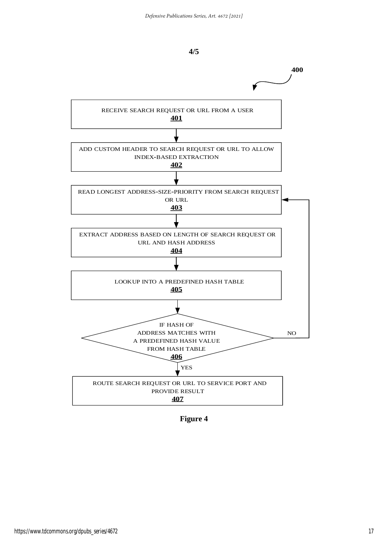